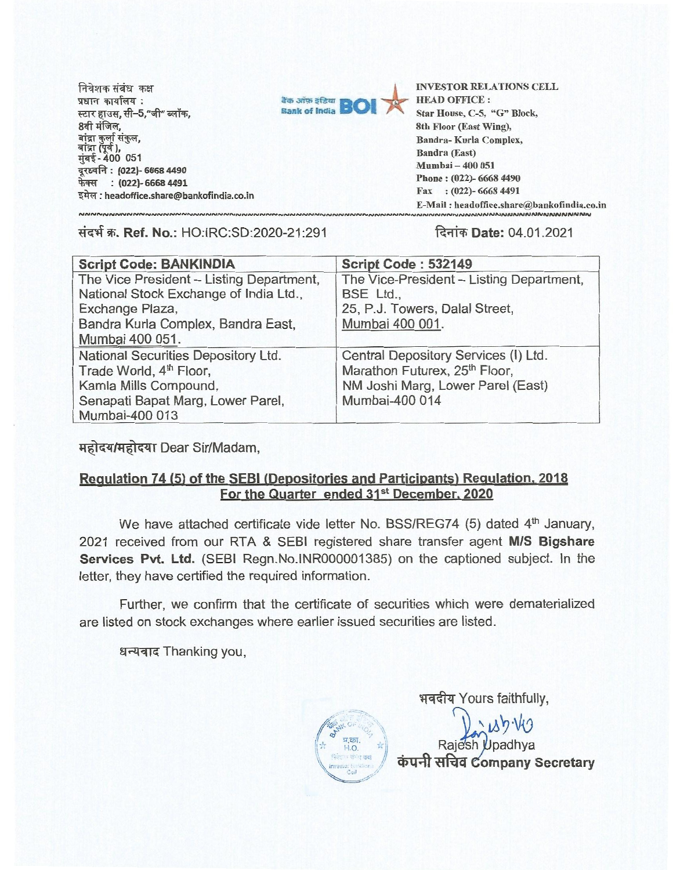निवेशक संबंध कक्ष<br>प्रधान कार्यालय : स्टार हाउस, सी–5,"जी" ब्लॉक, 8वी मंजिल, बांद्रा कुर्ला संकुल, बांद्रा (पूर्व ), **-400 051 VaIR : (022)- 6668 4490 फेक्स : (022)- 6668 4491 : headoffice.share@bankofindia.co.in** 



**Bank of India <b>BOI Accord BON A EXAMPLE AND OFFICE**:<br> **Bank of India <b>BOI A** Star House, C-5, "G" Block, HEAD OFFICE : 8th Floor (East Wing), Bandra- Kurla Complex, Bandra (East) Mumhai — 400 051 Phone : (022)- 6668 4490 Fax : (022)- 6668 4491 E-Mail : headoffice.share@bankofindia.co.in

## **tiq W. Ref. No.:** HO:IRC:SD:2020-21:291 **Rfft-Date:** 04.01.2021

| <b>Script Code: BANKINDIA</b>            | Script Code: 532149                      |
|------------------------------------------|------------------------------------------|
| The Vice President - Listing Department, | The Vice-President - Listing Department, |
| National Stock Exchange of India Ltd.,   | BSE Ltd.,                                |
| Exchange Plaza,                          | 25, P.J. Towers, Dalal Street,           |
| Bandra Kurla Complex, Bandra East,       | Mumbai 400 001.                          |
| Mumbai 400 051.                          |                                          |
| National Securities Depository Ltd.      | Central Depository Services (I) Ltd.     |
| Trade World, 4 <sup>th</sup> Floor,      | Marathon Futurex, 25th Floor,            |
| Kamla Mills Compound,                    | NM Joshi Marg, Lower Parel (East)        |
| Senapati Bapat Marg, Lower Parel,        | Mumbai-400 014                           |
| Mumbai-400 013                           |                                          |

महोदय/महोदया Dear Sir/Madam,

## **Regulation 74 (5) of the SEBI (Depositories and Participants) Regulation, 2018** For the Quarter ended 31<sup>st</sup> December, 2020

We have attached certificate vide letter No. BSS/REG74 (5) dated 4<sup>th</sup> January, 2021 received from our RTA & SEBI registered share transfer agent **M/S Bigshare Services Pvt. Ltd.** (SEBI Regn.No.1NR000001385) on the captioned subject. In the letter, they have certified the required information.

Further, we confirm that the certificate of securities which were dematerialized are listed on stock exchanges where earlier issued securities are listed.

धन्यवाद Thanking you,

भवदीय Yours faithfully,

 $189.09$ Rajesh Upadhya  $\dot{a}$ पनी सचिव Company Secretary